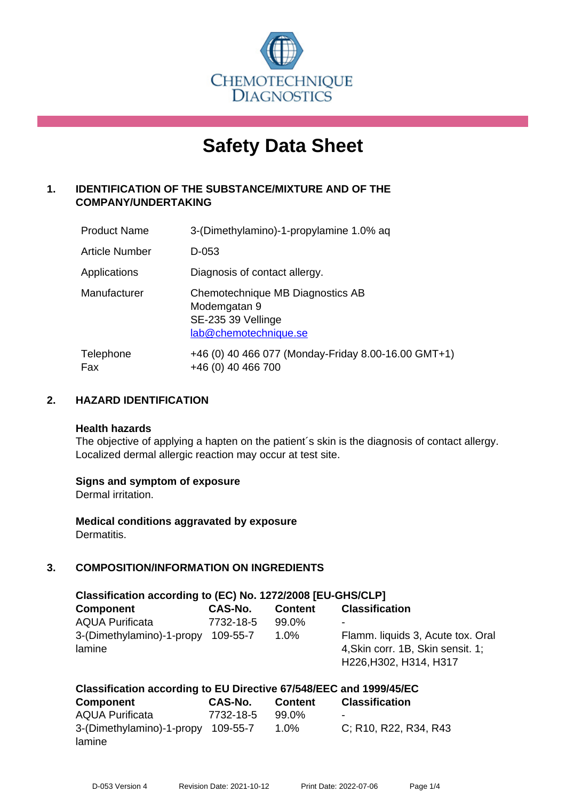

# **Safety Data Sheet**

## **1. IDENTIFICATION OF THE SUBSTANCE/MIXTURE AND OF THE COMPANY/UNDERTAKING**

| <b>Product Name</b> | 3-(Dimethylamino)-1-propylamine 1.0% aq                                                         |
|---------------------|-------------------------------------------------------------------------------------------------|
| Article Number      | D-053                                                                                           |
| Applications        | Diagnosis of contact allergy.                                                                   |
| Manufacturer        | Chemotechnique MB Diagnostics AB<br>Modemgatan 9<br>SE-235 39 Vellinge<br>lab@chemotechnique.se |
| Telephone<br>Fax    | +46 (0) 40 466 077 (Monday-Friday 8.00-16.00 GMT+1)<br>+46 (0) 40 466 700                       |

## **2. HAZARD IDENTIFICATION**

#### **Health hazards**

The objective of applying a hapten on the patient's skin is the diagnosis of contact allergy. Localized dermal allergic reaction may occur at test site.

## **Signs and symptom of exposure**

Dermal irritation.

**Medical conditions aggravated by exposure** Dermatitis.

# **3. COMPOSITION/INFORMATION ON INGREDIENTS**

| Classification according to (EC) No. 1272/2008 [EU-GHS/CLP] |           |                |                                                                                                  |  |  |
|-------------------------------------------------------------|-----------|----------------|--------------------------------------------------------------------------------------------------|--|--|
| <b>Component</b>                                            | CAS-No.   | <b>Content</b> | <b>Classification</b>                                                                            |  |  |
| <b>AQUA Purificata</b>                                      | 7732-18-5 | 99.0%          | $\,$                                                                                             |  |  |
| 3-(Dimethylamino)-1-propy<br>lamine                         | 109-55-7  | 1.0%           | Flamm. liquids 3, Acute tox. Oral<br>4, Skin corr. 1B, Skin sensit. 1;<br>H226, H302, H314, H317 |  |  |

| Classification according to EU Directive 67/548/EEC and 1999/45/EC |                |                |                       |  |
|--------------------------------------------------------------------|----------------|----------------|-----------------------|--|
| <b>Component</b>                                                   | <b>CAS-No.</b> | <b>Content</b> | <b>Classification</b> |  |
| <b>AQUA Purificata</b>                                             | 7732-18-5      | 99.0%          | -                     |  |
| 3-(Dimethylamino)-1-propy 109-55-7                                 |                | $1.0\%$        | C; R10, R22, R34, R43 |  |
| lamine                                                             |                |                |                       |  |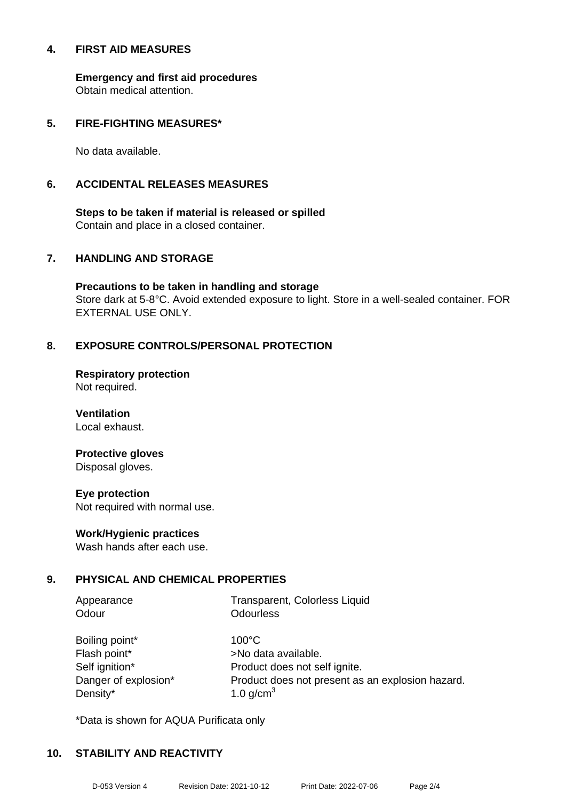#### **4. FIRST AID MEASURES**

**Emergency and first aid procedures** Obtain medical attention.

## **5. FIRE-FIGHTING MEASURES\***

No data available.

## **6. ACCIDENTAL RELEASES MEASURES**

**Steps to be taken if material is released or spilled** Contain and place in a closed container.

## **7. HANDLING AND STORAGE**

**Precautions to be taken in handling and storage** Store dark at 5-8°C. Avoid extended exposure to light. Store in a well-sealed container. FOR EXTERNAL USE ONLY.

## **8. EXPOSURE CONTROLS/PERSONAL PROTECTION**

**Respiratory protection** Not required.

**Ventilation** Local exhaust.

# **Protective gloves**

Disposal gloves.

#### **Eye protection**

Not required with normal use.

## **Work/Hygienic practices**

Wash hands after each use.

## **9. PHYSICAL AND CHEMICAL PROPERTIES**

| Appearance           | Transparent, Colorless Liquid                    |
|----------------------|--------------------------------------------------|
| Odour                | <b>Odourless</b>                                 |
|                      |                                                  |
| Boiling point*       | $100^{\circ}$ C                                  |
| Flash point*         | >No data available.                              |
| Self ignition*       | Product does not self ignite.                    |
| Danger of explosion* | Product does not present as an explosion hazard. |

\*Data is shown for AQUA Purificata only

Density\*  $1.0 \text{ q/cm}^3$ 

## **10. STABILITY AND REACTIVITY**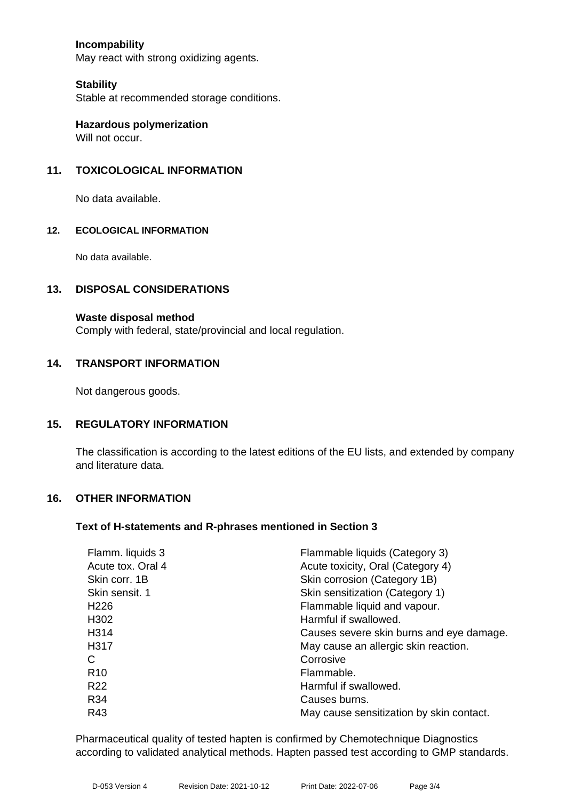## **Incompability**

May react with strong oxidizing agents.

#### **Stability**

Stable at recommended storage conditions.

**Hazardous polymerization** Will not occur.

## **11. TOXICOLOGICAL INFORMATION**

No data available.

#### **12. ECOLOGICAL INFORMATION**

No data available.

#### **13. DISPOSAL CONSIDERATIONS**

#### **Waste disposal method**

Comply with federal, state/provincial and local regulation.

#### **14. TRANSPORT INFORMATION**

Not dangerous goods.

#### **15. REGULATORY INFORMATION**

The classification is according to the latest editions of the EU lists, and extended by company and literature data.

#### **16. OTHER INFORMATION**

#### **Text of H-statements and R-phrases mentioned in Section 3**

| Flamm. liquids 3  | Flammable liquids (Category 3)           |
|-------------------|------------------------------------------|
| Acute tox. Oral 4 | Acute toxicity, Oral (Category 4)        |
| Skin corr. 1B     | Skin corrosion (Category 1B)             |
| Skin sensit, 1    | Skin sensitization (Category 1)          |
| H <sub>226</sub>  | Flammable liquid and vapour.             |
| H <sub>302</sub>  | Harmful if swallowed.                    |
| H314              | Causes severe skin burns and eye damage. |
| H317              | May cause an allergic skin reaction.     |
| С                 | Corrosive                                |
| R <sub>10</sub>   | Flammable.                               |
| R <sub>22</sub>   | Harmful if swallowed.                    |
| R34               | Causes burns.                            |
| R43               | May cause sensitization by skin contact. |
|                   |                                          |

Pharmaceutical quality of tested hapten is confirmed by Chemotechnique Diagnostics according to validated analytical methods. Hapten passed test according to GMP standards.